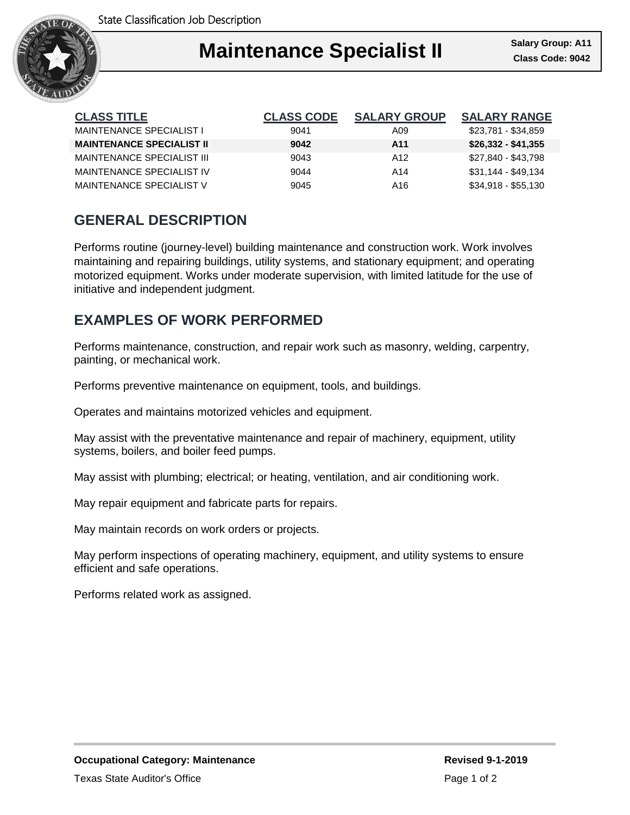

### Ι **Maintenance Specialist II Class Code: 9042**

| <b>CLASS TITLE</b>               | <b>CLASS CODE</b> | <b>SALARY GROUP</b> | <b>SALARY RANGE</b> |
|----------------------------------|-------------------|---------------------|---------------------|
| MAINTENANCE SPECIALIST I         | 9041              | A09                 | \$23,781 - \$34,859 |
| <b>MAINTENANCE SPECIALIST II</b> | 9042              | A11                 | $$26,332 - $41,355$ |
| MAINTENANCE SPECIALIST III       | 9043              | A <sub>12</sub>     | \$27,840 - \$43,798 |
| MAINTENANCE SPECIALIST IV        | 9044              | A14                 | $$31,144 - $49,134$ |
| MAINTENANCE SPECIALIST V         | 9045              | A16                 | $$34,918 - $55,130$ |

## **GENERAL DESCRIPTION**

Performs routine (journey-level) building maintenance and construction work. Work involves maintaining and repairing buildings, utility systems, and stationary equipment; and operating motorized equipment. Works under moderate supervision, with limited latitude for the use of initiative and independent judgment.

## **EXAMPLES OF WORK PERFORMED**

Performs maintenance, construction, and repair work such as masonry, welding, carpentry, painting, or mechanical work.

Performs preventive maintenance on equipment, tools, and buildings.

Operates and maintains motorized vehicles and equipment.

May assist with the preventative maintenance and repair of machinery, equipment, utility systems, boilers, and boiler feed pumps.

May assist with plumbing; electrical; or heating, ventilation, and air conditioning work.

May repair equipment and fabricate parts for repairs.

May maintain records on work orders or projects.

May perform inspections of operating machinery, equipment, and utility systems to ensure efficient and safe operations.

Performs related work as assigned.